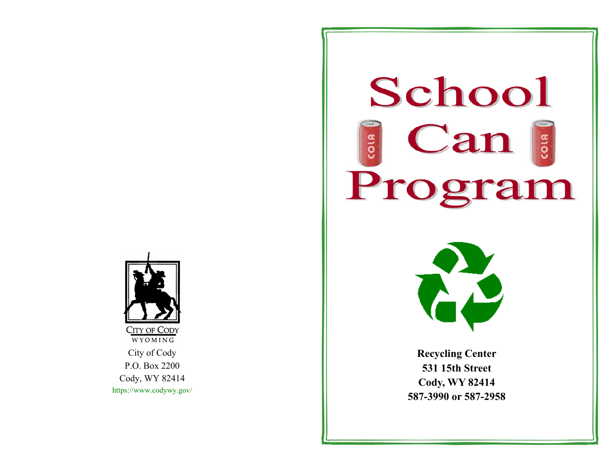

## **School**  $\epsilon$  Can COLA Program



**Recycling Center 531 15th Street Cody, WY 82414 587-3990 or 587-2958**